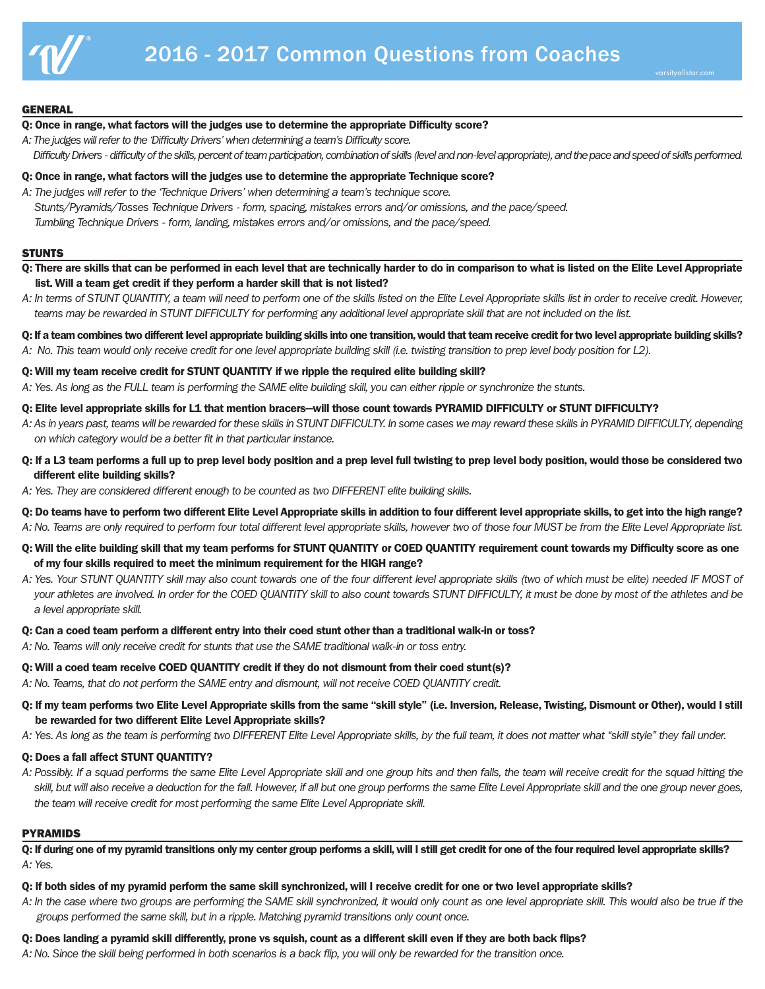

## **GENERAL**

## **Q: Once in range, what factors will the judges use to determine the appropriate Difficulty score?**

- *A: The judges will refer to the 'Difficulty Drivers' when determining a team's Difficulty score.*
	- Difficulty Drivers difficulty of the skills, percent of team participation, combination of skills (level and non-level appropriate), and the pace and speed of skills performed.
- **Q: Once in range, what factors will the judges use to determine the appropriate Technique score?**
- *A: The judges will refer to the 'Technique Drivers' when determining a team's technique score. Stunts/Pyramids/Tosses Technique Drivers - form, spacing, mistakes errors and/or omissions, and the pace/speed. Tumbling Technique Drivers - form, landing, mistakes errors and/or omissions, and the pace/speed.*

## **STUNTS**

- Q: There are skills that can be performed in each level that are technically harder to do in comparison to what is listed on the Elite Level Appropriate **list. Will a team get credit if they perform a harder skill that is not listed?**
- A: In terms of STUNT QUANTITY, a team will need to perform one of the skills listed on the Elite Level Appropriate skills list in order to receive credit. However, teams may be rewarded in STUNT DIFFICULTY for performing any additional level appropriate skill that are not included on the list.
- Q: If a team combines two different level appropriate building skills into one transition, would that team receive credit for two level appropriate building skills?
- A: No. This team would only receive credit for one level appropriate building skill (i.e. twisting transition to prep level body position for L2).

# **Q: Will my team receive credit for STUNT QUANTITY if we ripple the required elite building skill?**

A: Yes. As long as the FULL team is performing the SAME elite building skill, you can either ripple or synchronize the stunts.

## Q: Elite level appropriate skills for L1 that mention bracers-will those count towards PYRAMID DIFFICULTY or STUNT DIFFICULTY?

- A: As in years past, teams will be rewarded for these skills in STUNT DIFFICULTY. In some cases we may reward these skills in PYRAMID DIFFICULTY, depending *on which category would be a better fit in that particular instance.*
- Q: If a L3 team performs a full up to prep level body position and a prep level full twisting to prep level body position, would those be considered two **different elite building skills?**
- *A: Yes. They are considered different enough to be counted as two DIFFERENT elite building skills.*
- Q: Do teams have to perform two different Elite Level Appropriate skills in addition to four different level appropriate skills, to get into the high range? A: No. Teams are only required to perform four total different level appropriate skills, however two of those four MUST be from the Elite Level Appropriate list.
- Q: Will the elite building skill that my team performs for STUNT QUANTITY or COED QUANTITY requirement count towards my Difficulty score as one **of my four skills required to meet the minimum requirement for the HIGH range?**
- A: Yes. Your STUNT OUANTITY skill may also count towards one of the four different level appropriate skills (two of which must be elite) needed IF MOST of your athletes are involved. In order for the COED QUANTITY skill to also count towards STUNT DIFFICULTY, it must be done by most of the athletes and be *a level appropriate skill.*

# Q: Can a coed team perform a different entry into their coed stunt other than a traditional walk-in or toss?

A: No. Teams will only receive credit for stunts that use the SAME traditional walk-in or toss entry.

## **Q: Will a coed team receive COED QUANTITY credit if they do not dismount from their coed stunt(s)?**

- A: No. Teams, that do not perform the SAME entry and dismount, will not receive COED QUANTITY credit.
- Q: If my team performs two Elite Level Appropriate skills from the same "skill style" (i.e. Inversion, Release, Twisting, Dismount or Other), would I still **be rewarded for two different Elite Level Appropriate skills?**
- A: Yes. As long as the team is performing two DIFFERENT Elite Level Appropriate skills, by the full team, it does not matter what "skill style" they fall under.

## **Q: Does a fall affect STUNT QUANTITY?**

A: Possibly. If a squad performs the same Elite Level Appropriate skill and one group hits and then falls, the team will receive credit for the squad hitting the skill, but will also receive a deduction for the fall. However, if all but one group performs the same Elite Level Appropriate skill and the one group never goes, *the team will receive credit for most performing the same Elite Level Appropriate skill.*

## PYRAMIDS

Q: If during one of my pyramid transitions only my center group performs a skill, will I still get credit for one of the four required level appropriate skills? *A: Yes.*

#### Q: If both sides of my pyramid perform the same skill synchronized, will I receive credit for one or two level appropriate skills?

A: In the case where two groups are performing the SAME skill synchronized, it would only count as one level appropriate skill. This would also be true if the *groups performed the same skill, but in a ripple. Matching pyramid transitions only count once.*

## Q: Does landing a pyramid skill differently, prone vs squish, count as a different skill even if they are both back flips?

A: No. Since the skill being performed in both scenarios is a back flip, you will only be rewarded for the transition once.